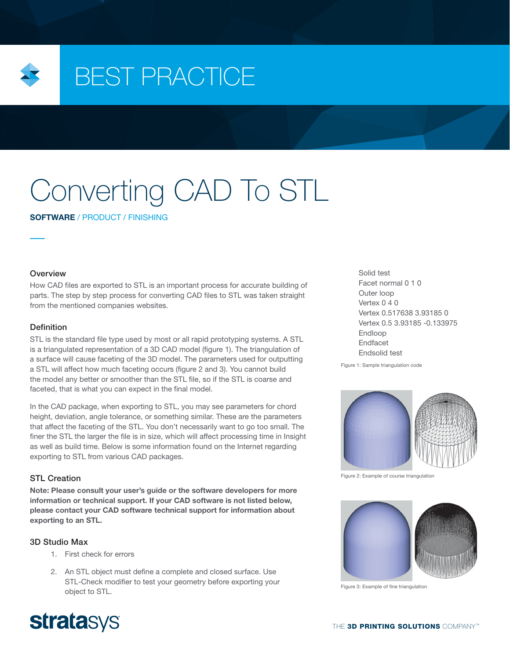

## BEST PRACTICE

# Converting CAD To STL

SOFTWARE / PRODUCT / FINISHING

#### **Overview**

How CAD files are exported to STL is an important process for accurate building of parts. The step by step process for converting CAD files to STL was taken straight from the mentioned companies websites.

#### Definition

STL is the standard file type used by most or all rapid prototyping systems. A STL is a triangulated representation of a 3D CAD model (figure 1). The triangulation of a surface will cause faceting of the 3D model. The parameters used for outputting a STL will affect how much faceting occurs (figure 2 and 3). You cannot build the model any better or smoother than the STL file, so if the STL is coarse and faceted, that is what you can expect in the final model.

In the CAD package, when exporting to STL, you may see parameters for chord height, deviation, angle tolerance, or something similar. These are the parameters that affect the faceting of the STL. You don't necessarily want to go too small. The finer the STL the larger the file is in size, which will affect processing time in Insight as well as build time. Below is some information found on the Internet regarding exporting to STL from various CAD packages.

#### STL Creation

Note: Please consult your user's guide or the software developers for more information or technical support. If your CAD software is not listed below, please contact your CAD software technical support for information about exporting to an STL.

#### 3D Studio Max

- 1. First check for errors
- 2. An STL object must define a complete and closed surface. Use STL-Check modifier to test your geometry before exporting your object to STL.

Solid test Facet normal 0 1 0 Outer loop Vertex 0 4 0 Vertex 0.517638 3.93185 0 Vertex 0.5 3.93185 -0.133975 Endloop Endfacet Endsolid test

Figure 1: Sample triangulation code



Figure 2: Example of course triangulation



Figure 3: Example of fine triangulation

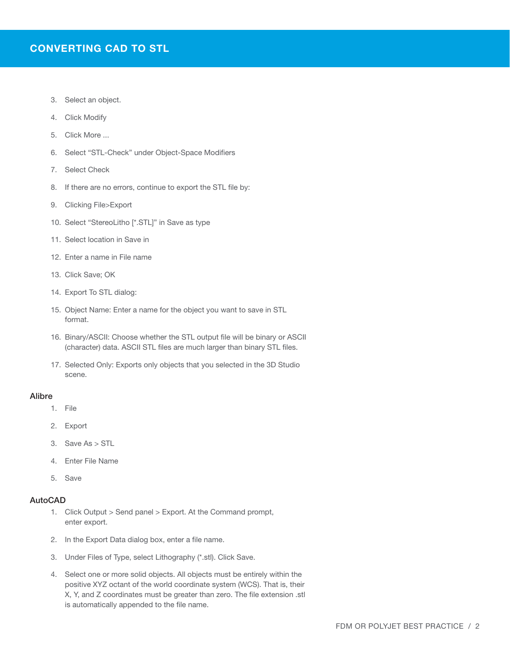- 3. Select an object.
- 4. Click Modify
- 5. Click More ...
- 6. Select "STL-Check" under Object-Space Modifiers
- 7. Select Check
- 8. If there are no errors, continue to export the STL file by:
- 9. Clicking File>Export
- 10. Select "StereoLitho [\*.STL]" in Save as type
- 11. Select location in Save in
- 12. Enter a name in File name
- 13. Click Save; OK
- 14. Export To STL dialog:
- 15. Object Name: Enter a name for the object you want to save in STL format.
- 16. Binary/ASCII: Choose whether the STL output file will be binary or ASCII (character) data. ASCII STL files are much larger than binary STL files.
- 17. Selected Only: Exports only objects that you selected in the 3D Studio scene.

#### Alibre

- 1. File
- 2. Export
- 3. Save As > STL
- 4. Enter File Name
- 5. Save

#### AutoCAD

- 1. Click Output > Send panel > Export. At the Command prompt, enter export.
- 2. In the Export Data dialog box, enter a file name.
- 3. Under Files of Type, select Lithography (\*.stl). Click Save.
- 4. Select one or more solid objects. All objects must be entirely within the positive XYZ octant of the world coordinate system (WCS). That is, their X, Y, and Z coordinates must be greater than zero. The file extension .stl is automatically appended to the file name.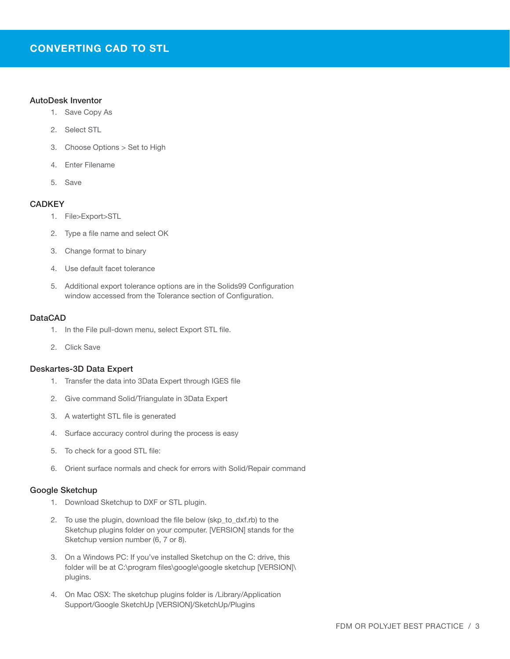#### AutoDesk Inventor

- 1. Save Copy As
- 2. Select STL
- 3. Choose Options > Set to High
- 4. Enter Filename
- 5. Save

#### **CADKEY**

- 1. File>Export>STL
- 2. Type a file name and select OK
- 3. Change format to binary
- 4. Use default facet tolerance
- 5. Additional export tolerance options are in the Solids99 Configuration window accessed from the Tolerance section of Configuration.

#### DataCAD

- 1. In the File pull-down menu, select Export STL file.
- 2. Click Save

#### Deskartes-3D Data Expert

- 1. Transfer the data into 3Data Expert through IGES file
- 2. Give command Solid/Triangulate in 3Data Expert
- 3. A watertight STL file is generated
- 4. Surface accuracy control during the process is easy
- 5. To check for a good STL file:
- 6. Orient surface normals and check for errors with Solid/Repair command

#### Google Sketchup

- 1. Download Sketchup to DXF or STL plugin.
- 2. To use the plugin, download the file below (skp\_to\_dxf.rb) to the Sketchup plugins folder on your computer. [VERSION] stands for the Sketchup version number (6, 7 or 8).
- 3. On a Windows PC: If you've installed Sketchup on the C: drive, this folder will be at C:\program files\google\google sketchup [VERSION]\ plugins.
- 4. On Mac OSX: The sketchup plugins folder is /Library/Application Support/Google SketchUp [VERSION]/SketchUp/Plugins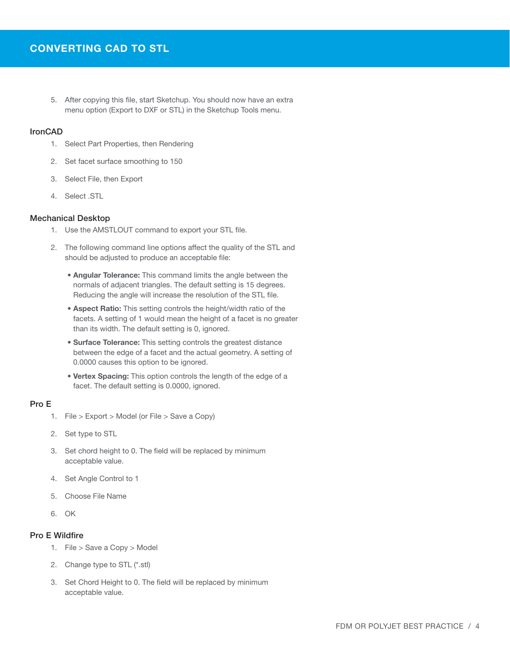5. After copying this file, start Sketchup. You should now have an extra menu option (Export to DXF or STL) in the Sketchup Tools menu.

#### **IronCAD**

- 1. Select Part Properties, then Rendering
- 2. Set facet surface smoothing to 150
- 3. Select File, then Export
- 4. Select .STL

#### Mechanical Desktop

- 1. Use the AMSTLOUT command to export your STL file.
- 2. The following command line options affect the quality of the STL and should be adjusted to produce an acceptable file:
	- Angular Tolerance: This command limits the angle between the normals of adjacent triangles. The default setting is 15 degrees. Reducing the angle will increase the resolution of the STL file.
	- Aspect Ratio: This setting controls the height/width ratio of the facets. A setting of 1 would mean the height of a facet is no greater than its width. The default setting is 0, ignored.
	- Surface Tolerance: This setting controls the greatest distance between the edge of a facet and the actual geometry. A setting of 0.0000 causes this option to be ignored.
	- Vertex Spacing: This option controls the length of the edge of a facet. The default setting is 0.0000, ignored.

#### Pro E

- 1. File > Export > Model (or File > Save a Copy)
- 2. Set type to STL
- 3. Set chord height to 0. The field will be replaced by minimum acceptable value.
- 4. Set Angle Control to 1
- 5. Choose File Name
- 6. OK

#### Pro E Wildfire

- 1. File > Save a Copy > Model
- 2. Change type to STL (\*.stl)
- 3. Set Chord Height to 0. The field will be replaced by minimum acceptable value.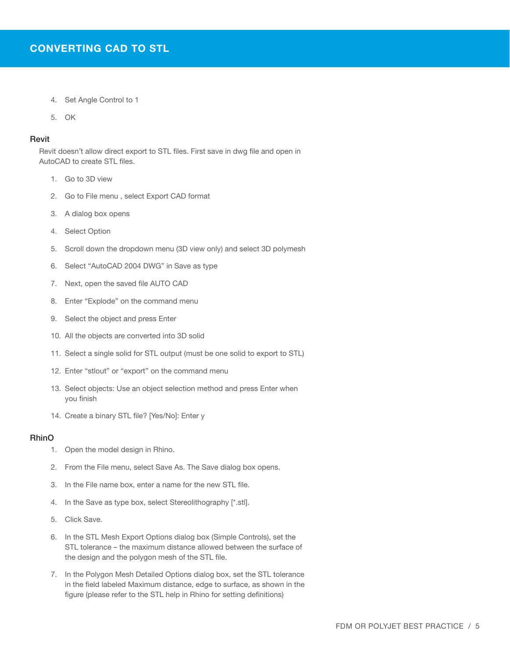- 4. Set Angle Control to 1
- 5. OK

#### Revit

Revit doesn't allow direct export to STL files. First save in dwg file and open in AutoCAD to create STL files.

- 1. Go to 3D view
- 2. Go to File menu , select Export CAD format
- 3. A dialog box opens
- 4. Select Option
- 5. Scroll down the dropdown menu (3D view only) and select 3D polymesh
- 6. Select "AutoCAD 2004 DWG" in Save as type
- 7. Next, open the saved file AUTO CAD
- 8. Enter "Explode" on the command menu
- 9. Select the object and press Enter
- 10. All the objects are converted into 3D solid
- 11. Select a single solid for STL output (must be one solid to export to STL)
- 12. Enter "stlout" or "export" on the command menu
- 13. Select objects: Use an object selection method and press Enter when you finish
- 14. Create a binary STL file? [Yes/No]: Enter y

#### RhinO

- 1. Open the model design in Rhino.
- 2. From the File menu, select Save As. The Save dialog box opens.
- 3. In the File name box, enter a name for the new STL file.
- 4. In the Save as type box, select Stereolithography [\*.stl].
- 5. Click Save.
- 6. In the STL Mesh Export Options dialog box (Simple Controls), set the STL tolerance – the maximum distance allowed between the surface of the design and the polygon mesh of the STL file.
- 7. In the Polygon Mesh Detailed Options dialog box, set the STL tolerance in the field labeled Maximum distance, edge to surface, as shown in the figure (please refer to the STL help in Rhino for setting definitions)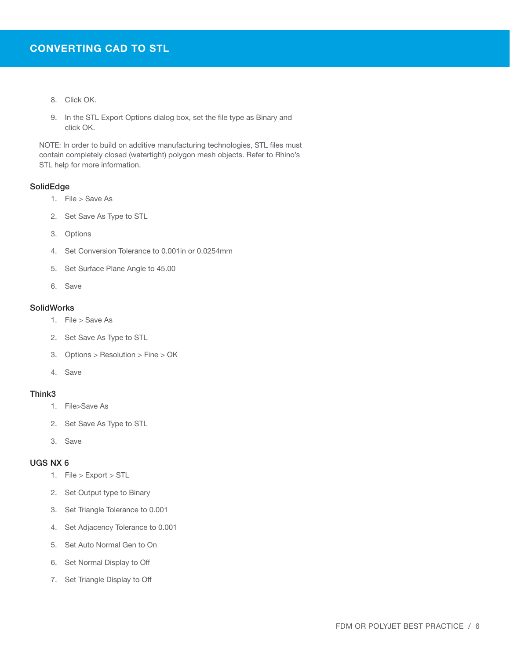- 8. Click OK.
- 9. In the STL Export Options dialog box, set the file type as Binary and click OK.

NOTE: In order to build on additive manufacturing technologies, STL files must contain completely closed (watertight) polygon mesh objects. Refer to Rhino's STL help for more information.

#### SolidEdge

- 1. File > Save As
- 2. Set Save As Type to STL
- 3. Options
- 4. Set Conversion Tolerance to 0.001in or 0.0254mm
- 5. Set Surface Plane Angle to 45.00
- 6. Save

#### **SolidWorks**

- 1. File > Save As
- 2. Set Save As Type to STL
- 3. Options > Resolution > Fine > OK
- 4. Save

#### Think3

- 1. File>Save As
- 2. Set Save As Type to STL
- 3. Save

#### UGS NX 6

- 1. File > Export > STL
- 2. Set Output type to Binary
- 3. Set Triangle Tolerance to 0.001
- 4. Set Adjacency Tolerance to 0.001
- 5. Set Auto Normal Gen to On
- 6. Set Normal Display to Off
- 7. Set Triangle Display to Off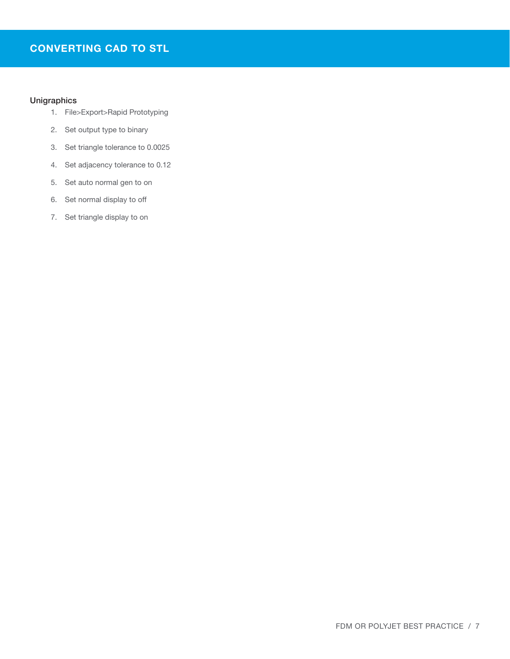### CONVERTING CAD TO STL

#### Unigraphics

- 1. File>Export>Rapid Prototyping
- 2. Set output type to binary
- 3. Set triangle tolerance to 0.0025
- 4. Set adjacency tolerance to 0.12
- 5. Set auto normal gen to on
- 6. Set normal display to off
- 7. Set triangle display to on